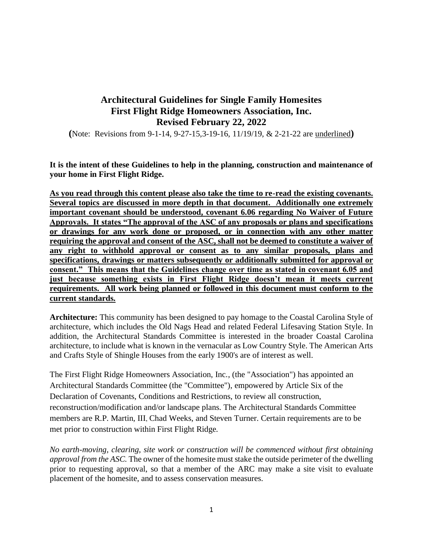# **Architectural Guidelines for Single Family Homesites First Flight Ridge Homeowners Association, Inc. Revised February 22, 2022**

**(**Note: Revisions from 9-1-14, 9-27-15,3-19-16, 11/19/19, & 2-21-22 are underlined**)**

**It is the intent of these Guidelines to help in the planning, construction and maintenance of your home in First Flight Ridge.**

**As you read through this content please also take the time to re-read the existing covenants. Several topics are discussed in more depth in that document. Additionally one extremely important covenant should be understood, covenant 6.06 regarding No Waiver of Future Approvals. It states "The approval of the ASC of any proposals or plans and specifications or drawings for any work done or proposed, or in connection with any other matter requiring the approval and consent of the ASC, shall not be deemed to constitute a waiver of any right to withhold approval or consent as to any similar proposals, plans and specifications, drawings or matters subsequently or additionally submitted for approval or consent." This means that the Guidelines change over time as stated in covenant 6.05 and just because something exists in First Flight Ridge doesn't mean it meets current requirements. All work being planned or followed in this document must conform to the current standards.**

**Architecture:** This community has been designed to pay homage to the Coastal Carolina Style of architecture, which includes the Old Nags Head and related Federal Lifesaving Station Style. In addition, the Architectural Standards Committee is interested in the broader Coastal Carolina architecture, to include what is known in the vernacular as Low Country Style. The American Arts and Crafts Style of Shingle Houses from the early 1900's are of interest as well.

The First Flight Ridge Homeowners Association, Inc., (the "Association") has appointed an Architectural Standards Committee (the "Committee"), empowered by Article Six of the Declaration of Covenants, Conditions and Restrictions, to review all construction, reconstruction/modification and/or landscape plans. The Architectural Standards Committee members are R.P. Martin, III, Chad Weeks, and Steven Turner. Certain requirements are to be met prior to construction within First Flight Ridge.

*No earth-moving, clearing, site work or construction will be commenced without first obtaining approval from the ASC.* The owner of the homesite must stake the outside perimeter of the dwelling prior to requesting approval, so that a member of the ARC may make a site visit to evaluate placement of the homesite, and to assess conservation measures.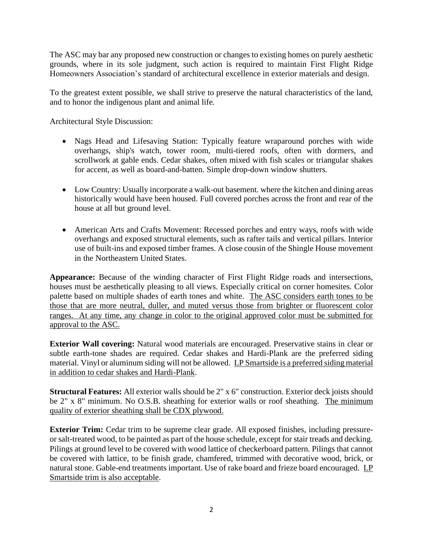The ASC may bar any proposed new construction or changes to existing homes on purely aesthetic grounds, where in its sole judgment, such action is required to maintain First Flight Ridge Homeowners Association's standard of architectural excellence in exterior materials and design.

To the greatest extent possible, we shall strive to preserve the natural characteristics of the land, and to honor the indigenous plant and animal life.

Architectural Style Discussion:

- Nags Head and Lifesaving Station: Typically feature wraparound porches with wide overhangs, ship's watch, tower room, multi-tiered roofs, often with dormers, and scrollwork at gable ends. Cedar shakes, often mixed with fish scales or triangular shakes for accent, as well as board-and-batten. Simple drop-down window shutters.
- Low Country: Usually incorporate a walk-out basement. where the kitchen and dining areas historically would have been housed. Full covered porches across the front and rear of the house at all but ground level.
- American Arts and Crafts Movement: Recessed porches and entry ways, roofs with wide overhangs and exposed structural elements, such as rafter tails and vertical pillars. Interior use of built-ins and exposed timber frames. A close cousin of the Shingle House movement in the Northeastern United States.

**Appearance:** Because of the winding character of First Flight Ridge roads and intersections, houses must be aesthetically pleasing to all views. Especially critical on corner homesites. Color palette based on multiple shades of earth tones and white. The ASC considers earth tones to be those that are more neutral, duller, and muted versus those from brighter or fluorescent color ranges. At any time, any change in color to the original approved color must be submitted for approval to the ASC.

**Exterior Wall covering:** Natural wood materials are encouraged. Preservative stains in clear or subtle earth-tone shades are required. Cedar shakes and Hardi-Plank are the preferred siding material. Vinyl or aluminum siding will not be allowed. LP Smartside is a preferred siding material in addition to cedar shakes and Hardi-Plank.

**Structural Features:** All exterior walls should be 2" x 6" construction. Exterior deck joists should be 2" x 8" minimum. No O.S.B. sheathing for exterior walls or roof sheathing. The minimum quality of exterior sheathing shall be CDX plywood.

**Exterior Trim:** Cedar trim to be supreme clear grade. All exposed finishes, including pressureor salt-treated wood, to be painted as part of the house schedule, except for stair treads and decking. Pilings at ground level to be covered with wood lattice of checkerboard pattern. Pilings that cannot be covered with lattice, to be finish grade, chamfered, trimmed with decorative wood, brick, or natural stone. Gable-end treatments important. Use of rake board and frieze board encouraged. LP Smartside trim is also acceptable.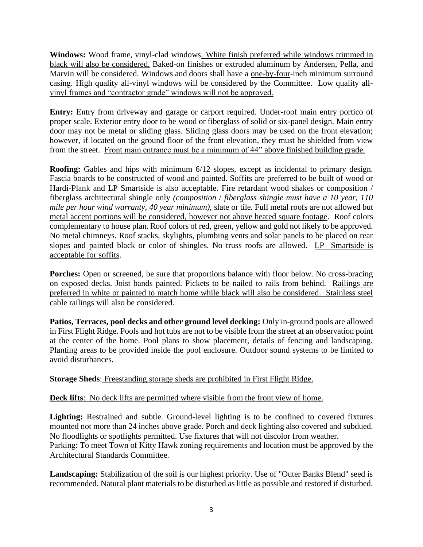**Windows:** Wood frame, vinyl-clad windows. White finish preferred while windows trimmed in black will also be considered. Baked-on finishes or extruded aluminum by Andersen, Pella, and Marvin will be considered. Windows and doors shall have a one-by-four-inch minimum surround casing. High quality all-vinyl windows will be considered by the Committee. Low quality allvinyl frames and "contractor grade" windows will not be approved.

**Entry:** Entry from driveway and garage or carport required. Under-roof main entry portico of proper scale. Exterior entry door to be wood or fiberglass of solid or six-panel design. Main entry door may not be metal or sliding glass. Sliding glass doors may be used on the front elevation; however, if located on the ground floor of the front elevation, they must be shielded from view from the street. Front main entrance must be a minimum of 44" above finished building grade.

**Roofing:** Gables and hips with minimum 6/12 slopes, except as incidental to primary design. Fascia boards to be constructed of wood and painted. Soffits are preferred to be built of wood or Hardi-Plank and LP Smartside is also acceptable. Fire retardant wood shakes or composition / fiberglass architectural shingle only *(composition* / *fiberglass shingle must have a 10 year, 110 mile per hour wind warranty, 40 year minimum),* slate or tile. Full metal roofs are not allowed but metal accent portions will be considered, however not above heated square footage. Roof colors complementary to house plan. Roof colors of red, green, yellow and gold not likely to be approved. No metal chimneys. Roof stacks, skylights, plumbing vents and solar panels to be placed on rear slopes and painted black or color of shingles. No truss roofs are allowed. LP Smartside is acceptable for soffits.

**Porches:** Open or screened, be sure that proportions balance with floor below. No cross-bracing on exposed decks. Joist bands painted. Pickets to be nailed to rails from behind. Railings are preferred in white or painted to match home while black will also be considered. Stainless steel cable railings will also be considered.

**Patios, Terraces, pool decks and other ground level decking:** Only in-ground pools are allowed in First Flight Ridge. Pools and hot tubs are not to be visible from the street at an observation point at the center of the home. Pool plans to show placement, details of fencing and landscaping. Planting areas to be provided inside the pool enclosure. Outdoor sound systems to be limited to avoid disturbances.

### **Storage Sheds**: Freestanding storage sheds are prohibited in First Flight Ridge.

## **Deck lifts**: No deck lifts are permitted where visible from the front view of home.

**Lighting:** Restrained and subtle. Ground-level lighting is to be confined to covered fixtures mounted not more than 24 inches above grade. Porch and deck lighting also covered and subdued. No floodlights or spotlights permitted. Use fixtures that will not discolor from weather. Parking: To meet Town of Kitty Hawk zoning requirements and location must be approved by the Architectural Standards Committee.

**Landscaping:** Stabilization of the soil is our highest priority. Use of "Outer Banks Blend" seed is recommended. Natural plant materials to be disturbed as little as possible and restored if disturbed.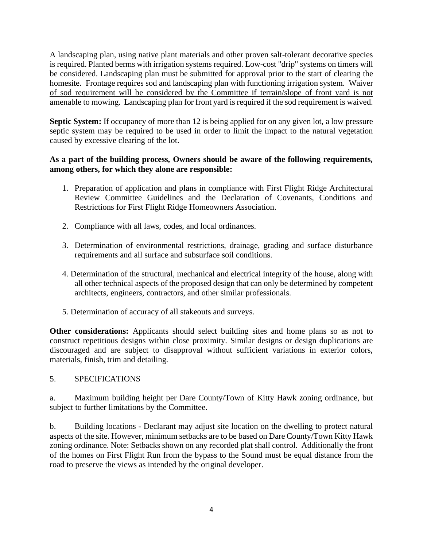A landscaping plan, using native plant materials and other proven salt-tolerant decorative species is required. Planted berms with irrigation systems required. Low-cost "drip" systems on timers will be considered. Landscaping plan must be submitted for approval prior to the start of clearing the homesite. Frontage requires sod and landscaping plan with functioning irrigation system. Waiver of sod requirement will be considered by the Committee if terrain/slope of front yard is not amenable to mowing. Landscaping plan for front yard is required if the sod requirement is waived.

**Septic System:** If occupancy of more than 12 is being applied for on any given lot, a low pressure septic system may be required to be used in order to limit the impact to the natural vegetation caused by excessive clearing of the lot.

### **As a part of the building process, Owners should be aware of the following requirements, among others, for which they alone are responsible:**

- 1. Preparation of application and plans in compliance with First Flight Ridge Architectural Review Committee Guidelines and the Declaration of Covenants, Conditions and Restrictions for First Flight Ridge Homeowners Association.
- 2. Compliance with all laws, codes, and local ordinances.
- 3. Determination of environmental restrictions, drainage, grading and surface disturbance requirements and all surface and subsurface soil conditions.
- 4. Determination of the structural, mechanical and electrical integrity of the house, along with all other technical aspects of the proposed design that can only be determined by competent architects, engineers, contractors, and other similar professionals.
- 5. Determination of accuracy of all stakeouts and surveys.

**Other considerations:** Applicants should select building sites and home plans so as not to construct repetitious designs within close proximity. Similar designs or design duplications are discouraged and are subject to disapproval without sufficient variations in exterior colors, materials, finish, trim and detailing.

### 5. SPECIFICATIONS

a. Maximum building height per Dare County/Town of Kitty Hawk zoning ordinance, but subject to further limitations by the Committee.

b. Building locations - Declarant may adjust site location on the dwelling to protect natural aspects of the site. However, minimum setbacks are to be based on Dare County/Town Kitty Hawk zoning ordinance. Note: Setbacks shown on any recorded plat shall control. Additionally the front of the homes on First Flight Run from the bypass to the Sound must be equal distance from the road to preserve the views as intended by the original developer.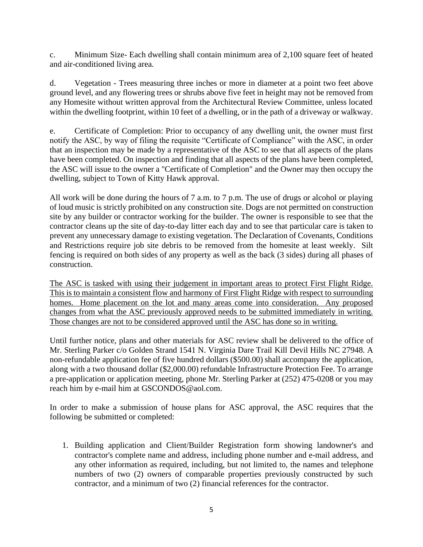c. Minimum Size- Each dwelling shall contain minimum area of 2,100 square feet of heated and air-conditioned living area.

d. Vegetation - Trees measuring three inches or more in diameter at a point two feet above ground level, and any flowering trees or shrubs above five feet in height may not be removed from any Homesite without written approval from the Architectural Review Committee, unless located within the dwelling footprint, within 10 feet of a dwelling, or in the path of a driveway or walkway.

e. Certificate of Completion: Prior to occupancy of any dwelling unit, the owner must first notify the ASC, by way of filing the requisite "Certificate of Compliance" with the ASC, in order that an inspection may be made by a representative of the ASC to see that all aspects of the plans have been completed. On inspection and finding that all aspects of the plans have been completed, the ASC will issue to the owner a "Certificate of Completion" and the Owner may then occupy the dwelling, subject to Town of Kitty Hawk approval.

All work will be done during the hours of 7 a.m. to 7 p.m. The use of drugs or alcohol or playing of loud music is strictly prohibited on any construction site. Dogs are not permitted on construction site by any builder or contractor working for the builder. The owner is responsible to see that the contractor cleans up the site of day-to-day litter each day and to see that particular care is taken to prevent any unnecessary damage to existing vegetation. The Declaration of Covenants, Conditions and Restrictions require job site debris to be removed from the homesite at least weekly. Silt fencing is required on both sides of any property as well as the back (3 sides) during all phases of construction.

The ASC is tasked with using their judgement in important areas to protect First Flight Ridge. This is to maintain a consistent flow and harmony of First Flight Ridge with respect to surrounding homes. Home placement on the lot and many areas come into consideration. Any proposed changes from what the ASC previously approved needs to be submitted immediately in writing. Those changes are not to be considered approved until the ASC has done so in writing.

Until further notice, plans and other materials for ASC review shall be delivered to the office of Mr. Sterling Parker c/o Golden Strand 1541 N. Virginia Dare Trail Kill Devil Hills NC 27948. A non-refundable application fee of five hundred dollars (\$500.00) shall accompany the application, along with a two thousand dollar (\$2,000.00) refundable Infrastructure Protection Fee. To arrange a pre-application or application meeting, phone Mr. Sterling Parker at (252) 475-0208 or you may reach him by e-mail him at GSCONDOS@aol.com.

In order to make a submission of house plans for ASC approval, the ASC requires that the following be submitted or completed:

1. Building application and Client/Builder Registration form showing landowner's and contractor's complete name and address, including phone number and e-mail address, and any other information as required, including, but not limited to, the names and telephone numbers of two (2) owners of comparable properties previously constructed by such contractor, and a minimum of two (2) financial references for the contractor.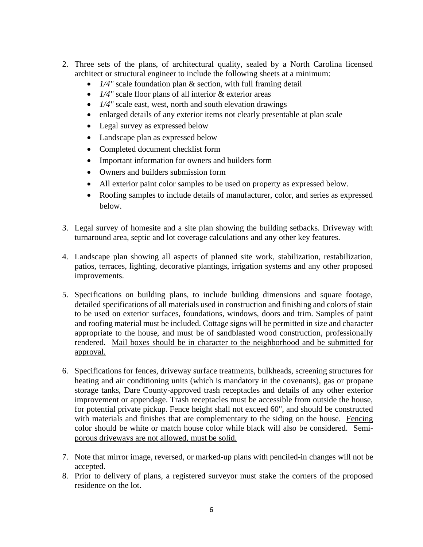- 2. Three sets of the plans, of architectural quality, sealed by a North Carolina licensed architect or structural engineer to include the following sheets at a minimum:
	- *1/4"* scale foundation plan & section, with full framing detail
	- *1/4"* scale floor plans of all interior & exterior areas
	- *1/4"* scale east, west, north and south elevation drawings
	- enlarged details of any exterior items not clearly presentable at plan scale
	- Legal survey as expressed below
	- Landscape plan as expressed below
	- Completed document checklist form
	- Important information for owners and builders form
	- Owners and builders submission form
	- All exterior paint color samples to be used on property as expressed below.
	- Roofing samples to include details of manufacturer, color, and series as expressed below.
- 3. Legal survey of homesite and a site plan showing the building setbacks. Driveway with turnaround area, septic and lot coverage calculations and any other key features.
- 4. Landscape plan showing all aspects of planned site work, stabilization, restabilization, patios, terraces, lighting, decorative plantings, irrigation systems and any other proposed improvements.
- 5. Specifications on building plans, to include building dimensions and square footage, detailed specifications of all materials used in construction and finishing and colors of stain to be used on exterior surfaces, foundations, windows, doors and trim. Samples of paint and roofing material must be included. Cottage signs will be permitted in size and character appropriate to the house, and must be of sandblasted wood construction, professionally rendered. Mail boxes should be in character to the neighborhood and be submitted for approval.
- 6. Specifications for fences, driveway surface treatments, bulkheads, screening structures for heating and air conditioning units (which is mandatory in the covenants), gas or propane storage tanks, Dare County-approved trash receptacles and details of any other exterior improvement or appendage. Trash receptacles must be accessible from outside the house, for potential private pickup. Fence height shall not exceed 60", and should be constructed with materials and finishes that are complementary to the siding on the house. Fencing color should be white or match house color while black will also be considered. Semiporous driveways are not allowed, must be solid.
- 7. Note that mirror image, reversed, or marked-up plans with penciled-in changes will not be accepted.
- 8. Prior to delivery of plans, a registered surveyor must stake the corners of the proposed residence on the lot.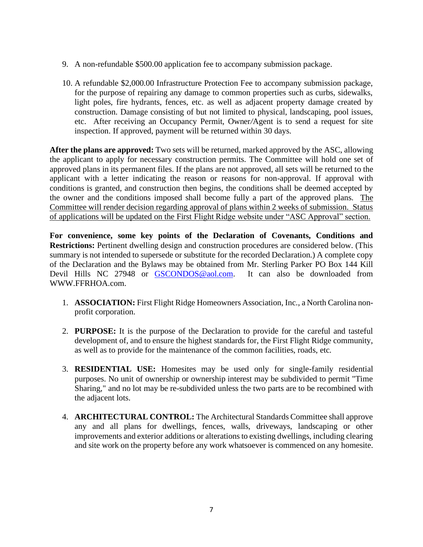- 9. A non-refundable \$500.00 application fee to accompany submission package.
- 10. A refundable \$2,000.00 Infrastructure Protection Fee to accompany submission package, for the purpose of repairing any damage to common properties such as curbs, sidewalks, light poles, fire hydrants, fences, etc. as well as adjacent property damage created by construction. Damage consisting of but not limited to physical, landscaping, pool issues, etc. After receiving an Occupancy Permit, Owner*/*Agent is to send a request for site inspection. If approved, payment will be returned within 30 days.

**After the plans are approved:** Two sets will be returned, marked approved by the ASC, allowing the applicant to apply for necessary construction permits. The Committee will hold one set of approved plans in its permanent files. If the plans are not approved, all sets will be returned to the applicant with a letter indicating the reason or reasons for non-approval. If approval with conditions is granted, and construction then begins, the conditions shall be deemed accepted by the owner and the conditions imposed shall become fully a part of the approved plans. The Committee will render decision regarding approval of plans within 2 weeks of submission. Status of applications will be updated on the First Flight Ridge website under "ASC Approval" section.

**For convenience, some key points of the Declaration of Covenants, Conditions and Restrictions:** Pertinent dwelling design and construction procedures are considered below. (This summary is not intended to supersede or substitute for the recorded Declaration.) A complete copy of the Declaration and the Bylaws may be obtained from Mr. Sterling Parker PO Box 144 Kill Devil Hills NC 27948 or [GSCONDOS@aol.com.](mailto:GSCONDOS@aol.com) It can also be downloaded from WWW.FFRHOA.com.

- 1. **ASSOCIATION:** First Flight Ridge Homeowners Association, Inc., a North Carolina nonprofit corporation.
- 2. **PURPOSE:** It is the purpose of the Declaration to provide for the careful and tasteful development of, and to ensure the highest standards for, the First Flight Ridge community, as well as to provide for the maintenance of the common facilities, roads, etc.
- 3. **RESIDENTIAL USE:** Homesites may be used only for single-family residential purposes. No unit of ownership or ownership interest may be subdivided to permit "Time Sharing," and no lot may be re-subdivided unless the two parts are to be recombined with the adjacent lots.
- 4. **ARCHITECTURAL CONTROL:** The Architectural Standards Committee shall approve any and all plans for dwellings, fences, walls, driveways, landscaping or other improvements and exterior additions or alterations to existing dwellings, including clearing and site work on the property before any work whatsoever is commenced on any homesite.